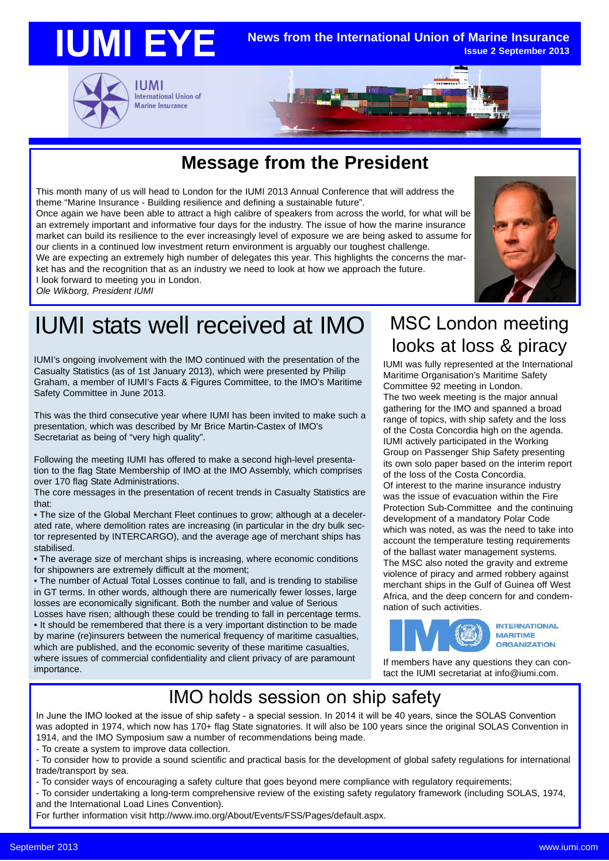

### **Message from the President**

This month many of us will head to London for the IUMI 2013 Annual Conference that will address the theme "Marine Insurance - Building resilience and defining a sustainable future".

Once again we have been able to attract a high calibre of speakers from across the world, for what will be an extremely important and informative four days for the industry. The issue of how the marine insurance market can build its resilience to the ever increasingly level of exposure we are being asked to assume for our clients in a continued low investment return environment is arguably our toughest challenge.

We are expecting an extremely high number of delegates this year. This highlights the concerns the market has and the recognition that as an industry we need to look at how we approach the future. I look forward to meeting you in London.

*Ole Wikborg, President IUMI*

# IUMI stats well received at IMO

IUMI's ongoing involvement with the IMO continued with the presentation of the Casualty Statistics (as of 1st January 2013), which were presented by Philip Graham, a member of IUMI's Facts & Figures Committee, to the IMO's Maritime Safety Committee in June 2013.

This was the third consecutive year where IUMI has been invited to make such a presentation, which was described by Mr Brice Martin-Castex of IMO's Secretariat as being of "very high quality".

Following the meeting IUMI has offered to make a second high-level presentation to the flag State Membership of IMO at the IMO Assembly, which comprises over 170 flag State Administrations.

The core messages in the presentation of recent trends in Casualty Statistics are that:

• The size of the Global Merchant Fleet continues to grow; although at a decelerated rate, where demolition rates are increasing (in particular in the dry bulk sector represented by INTERCARGO), and the average age of merchant ships has stabilised.

• The average size of merchant ships is increasing, where economic conditions for shipowners are extremely difficult at the moment;

• The number of Actual Total Losses continue to fall, and is trending to stabilise in GT terms. In other words, although there are numerically fewer losses, large losses are economically significant. Both the number and value of Serious

Losses have risen; although these could be trending to fall in percentage terms. • It should be remembered that there is a very important distinction to be made by marine (re)insurers between the numerical frequency of maritime casualties, which are published, and the economic severity of these maritime casualties, where issues of commercial confidentiality and client privacy of are paramount importance.

#### MSC London meeting looks at loss & piracy

IUMI was fully represented at the International Maritime Organisation's Maritime Safety Committee 92 meeting in London.

The two week meeting is the major annual gathering for the IMO and spanned a broad range of topics, with ship safety and the loss of the Costa Concordia high on the agenda. IUMI actively participated in the Working Group on Passenger Ship Safety presenting its own solo paper based on the interim report of the loss of the Costa Concordia. Of interest to the marine insurance industry was the issue of evacuation within the Fire Protection Sub-Committee and the continuing development of a mandatory Polar Code which was noted, as was the need to take into account the temperature testing requirements of the ballast water management systems. The MSC also noted the gravity and extreme violence of piracy and armed robbery against merchant ships in the Gulf of Guinea off West Africa, and the deep concern for and condemnation of such activities.



If members have any questions they can contact the IUMI secretariat at info@iumi.com.

### IMO holds session on ship safety

In June the IMO looked at the issue of ship safety - a special session. In 2014 it will be 40 years, since the SOLAS Convention was adopted in 1974, which now has 170+ flag State signatories. It will also be 100 years since the original SOLAS Convention in 1914, and the IMO Symposium saw a number of recommendations being made.

- To create a system to improve data collection.

- To consider how to provide a sound scientific and practical basis for the development of global safety regulations for international trade/transport by sea.

- To consider ways of encouraging a safety culture that goes beyond mere compliance with regulatory requirements;

- To consider undertaking a long-term comprehensive review of the existing safety regulatory framework (including SOLAS, 1974, and the International Load Lines Convention).

For further information visit http://www.imo.org/About/Events/FSS/Pages/default.aspx.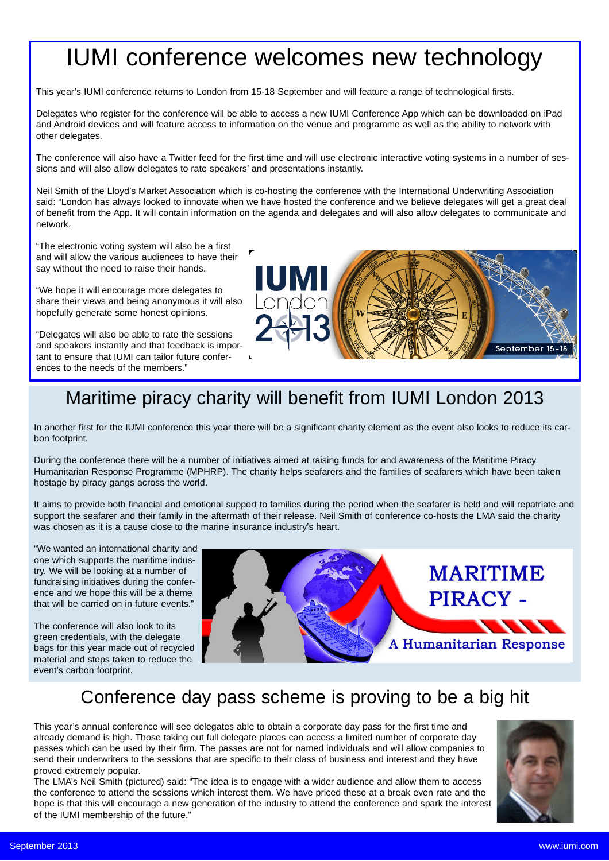# IUMI conference welcomes new technology

This year's IUMI conference returns to London from 15-18 September and will feature a range of technological firsts.

Delegates who register for the conference will be able to access a new IUMI Conference App which can be downloaded on iPad and Android devices and will feature access to information on the venue and programme as well as the ability to network with other delegates.

The conference will also have a Twitter feed for the first time and will use electronic interactive voting systems in a number of sessions and will also allow delegates to rate speakers' and presentations instantly.

Neil Smith of the Lloyd's Market Association which is co-hosting the conference with the International Underwriting Association said: "London has always looked to innovate when we have hosted the conference and we believe delegates will get a great deal of benefit from the App. It will contain information on the agenda and delegates and will also allow delegates to communicate and network.

"The electronic voting system will also be a first and will allow the various audiences to have their say without the need to raise their hands.

"We hope it will encourage more delegates to share their views and being anonymous it will also hopefully generate some honest opinions.

"Delegates will also be able to rate the sessions and speakers instantly and that feedback is important to ensure that IUMI can tailor future conferences to the needs of the members."



## Maritime piracy charity will benefit from IUMI London 2013

In another first for the IUMI conference this year there will be a significant charity element as the event also looks to reduce its carbon footprint.

During the conference there will be a number of initiatives aimed at raising funds for and awareness of the Maritime Piracy Humanitarian Response Programme (MPHRP). The charity helps seafarers and the families of seafarers which have been taken hostage by piracy gangs across the world.

It aims to provide both financial and emotional support to families during the period when the seafarer is held and will repatriate and support the seafarer and their family in the aftermath of their release. Neil Smith of conference co-hosts the LMA said the charity was chosen as it is a cause close to the marine insurance industry's heart.

"We wanted an international charity and one which supports the maritime industry. We will be looking at a number of fundraising initiatives during the conference and we hope this will be a theme that will be carried on in future events."

The conference will also look to its green credentials, with the delegate bags for this year made out of recycled material and steps taken to reduce the event's carbon footprint.



### Conference day pass scheme is proving to be a big hit

This year's annual conference will see delegates able to obtain a corporate day pass for the first time and already demand is high. Those taking out full delegate places can access a limited number of corporate day passes which can be used by their firm. The passes are not for named individuals and will allow companies to send their underwriters to the sessions that are specific to their class of business and interest and they have proved extremely popular.

The LMA's Neil Smith (pictured) said: "The idea is to engage with a wider audience and allow them to access the conference to attend the sessions which interest them. We have priced these at a break even rate and the hope is that this will encourage a new generation of the industry to attend the conference and spark the interest of the IUMI membership of the future."

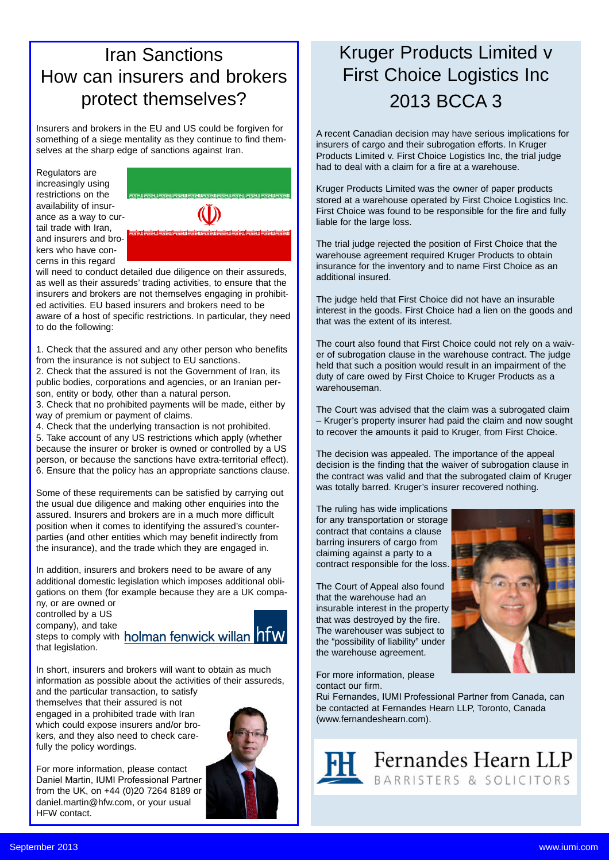### Iran Sanctions How can insurers and brokers protect themselves?

Insurers and brokers in the EU and US could be forgiven for something of a siege mentality as they continue to find themselves at the sharp edge of sanctions against Iran.

Regulators are increasingly using restrictions on the availability of insurance as a way to curtail trade with Iran, and insurers and brokers who have concerns in this regard



will need to conduct detailed due diligence on their assureds, as well as their assureds' trading activities, to ensure that the insurers and brokers are not themselves engaging in prohibited activities. EU based insurers and brokers need to be aware of a host of specific restrictions. In particular, they need to do the following:

1. Check that the assured and any other person who benefits from the insurance is not subject to EU sanctions.

2. Check that the assured is not the Government of Iran, its public bodies, corporations and agencies, or an Iranian person, entity or body, other than a natural person.

3. Check that no prohibited payments will be made, either by way of premium or payment of claims.

4. Check that the underlying transaction is not prohibited. 5. Take account of any US restrictions which apply (whether because the insurer or broker is owned or controlled by a US person, or because the sanctions have extra-territorial effect). 6. Ensure that the policy has an appropriate sanctions clause.

Some of these requirements can be satisfied by carrying out the usual due diligence and making other enquiries into the assured. Insurers and brokers are in a much more difficult position when it comes to identifying the assured's counterparties (and other entities which may benefit indirectly from the insurance), and the trade which they are engaged in.

In addition, insurers and brokers need to be aware of any additional domestic legislation which imposes additional obligations on them (for example because they are a UK company, or are owned or

controlled by a US

company), and take steps to comply with holman fenwick willan hfw that legislation.



In short, insurers and brokers will want to obtain as much information as possible about the activities of their assureds, and the particular transaction, to satisfy

themselves that their assured is not engaged in a prohibited trade with Iran which could expose insurers and/or brokers, and they also need to check carefully the policy wordings.

For more information, please contact Daniel Martin, IUMI Professional Partner from the UK, on +44 (0)20 7264 8189 or daniel.martin@hfw.com, or your usual HFW contact.



## Kruger Products Limited v First Choice Logistics Inc 2013 BCCA 3

A recent Canadian decision may have serious implications for insurers of cargo and their subrogation efforts. In Kruger Products Limited v. First Choice Logistics Inc, the trial judge had to deal with a claim for a fire at a warehouse.

Kruger Products Limited was the owner of paper products stored at a warehouse operated by First Choice Logistics Inc. First Choice was found to be responsible for the fire and fully liable for the large loss.

The trial judge rejected the position of First Choice that the warehouse agreement required Kruger Products to obtain insurance for the inventory and to name First Choice as an additional insured.

The judge held that First Choice did not have an insurable interest in the goods. First Choice had a lien on the goods and that was the extent of its interest.

The court also found that First Choice could not rely on a waiver of subrogation clause in the warehouse contract. The judge held that such a position would result in an impairment of the duty of care owed by First Choice to Kruger Products as a warehouseman.

The Court was advised that the claim was a subrogated claim – Kruger's property insurer had paid the claim and now sought to recover the amounts it paid to Kruger, from First Choice.

The decision was appealed. The importance of the appeal decision is the finding that the waiver of subrogation clause in the contract was valid and that the subrogated claim of Kruger was totally barred. Kruger's insurer recovered nothing.

The ruling has wide implications for any transportation or storage contract that contains a clause barring insurers of cargo from claiming against a party to a contract responsible for the loss.

The Court of Appeal also found that the warehouse had an insurable interest in the property that was destroyed by the fire. The warehouser was subject to the "possibility of liability" under the warehouse agreement.

For more information, please contact our firm.

Rui Fernandes, IUMI Professional Partner from Canada, can be contacted at Fernandes Hearn LLP, Toronto, Canada (www.fernandeshearn.com).



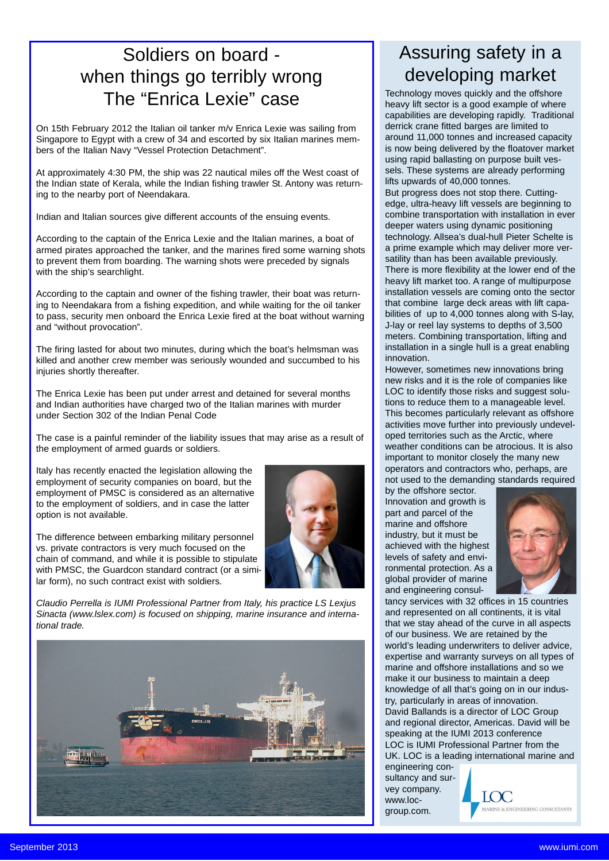### Soldiers on board when things go terribly wrong The "Enrica Lexie" case

On 15th February 2012 the Italian oil tanker m/v Enrica Lexie was sailing from Singapore to Egypt with a crew of 34 and escorted by six Italian marines members of the Italian Navy "Vessel Protection Detachment".

At approximately 4:30 PM, the ship was 22 nautical miles off the West coast of the Indian state of Kerala, while the Indian fishing trawler St. Antony was returning to the nearby port of Neendakara.

Indian and Italian sources give different accounts of the ensuing events.

According to the captain of the Enrica Lexie and the Italian marines, a boat of armed pirates approached the tanker, and the marines fired some warning shots to prevent them from boarding. The warning shots were preceded by signals with the ship's searchlight.

According to the captain and owner of the fishing trawler, their boat was returning to Neendakara from a fishing expedition, and while waiting for the oil tanker to pass, security men onboard the Enrica Lexie fired at the boat without warning and "without provocation".

The firing lasted for about two minutes, during which the boat's helmsman was killed and another crew member was seriously wounded and succumbed to his injuries shortly thereafter.

The Enrica Lexie has been put under arrest and detained for several months and Indian authorities have charged two of the Italian marines with murder under Section 302 of the Indian Penal Code

The case is a painful reminder of the liability issues that may arise as a result of the employment of armed guards or soldiers.

Italy has recently enacted the legislation allowing the employment of security companies on board, but the employment of PMSC is considered as an alternative to the employment of soldiers, and in case the latter option is not available.

The difference between embarking military personnel vs. private contractors is very much focused on the chain of command, and while it is possible to stipulate with PMSC, the Guardcon standard contract (or a similar form), no such contract exist with soldiers.



*Claudio Perrella is IUMI Professional Partner from Italy, his practice LS Lexjus Sinacta (www.lslex.com) is focused on shipping, marine insurance and international trade.*



### Assuring safety in a developing market

Technology moves quickly and the offshore heavy lift sector is a good example of where capabilities are developing rapidly. Traditional derrick crane fitted barges are limited to around 11,000 tonnes and increased capacity is now being delivered by the floatover market using rapid ballasting on purpose built vessels. These systems are already performing lifts upwards of 40,000 tonnes. But progress does not stop there. Cuttingedge, ultra-heavy lift vessels are beginning to combine transportation with installation in ever deeper waters using dynamic positioning technology. Allsea's dual-hull Pieter Schelte is a prime example which may deliver more versatility than has been available previously. There is more flexibility at the lower end of the heavy lift market too. A range of multipurpose installation vessels are coming onto the sector that combine large deck areas with lift capabilities of up to 4,000 tonnes along with S-lay, J-lay or reel lay systems to depths of 3,500 meters. Combining transportation, lifting and installation in a single hull is a great enabling innovation.

However, sometimes new innovations bring new risks and it is the role of companies like LOC to identify those risks and suggest solutions to reduce them to a manageable level. This becomes particularly relevant as offshore activities move further into previously undeveloped territories such as the Arctic, where weather conditions can be atrocious. It is also important to monitor closely the many new operators and contractors who, perhaps, are not used to the demanding standards required

by the offshore sector. Innovation and growth is part and parcel of the marine and offshore industry, but it must be achieved with the highest levels of safety and environmental protection. As a global provider of marine and engineering consul-



tancy services with 32 offices in 15 countries and represented on all continents, it is vital that we stay ahead of the curve in all aspects of our business. We are retained by the world's leading underwriters to deliver advice, expertise and warranty surveys on all types of marine and offshore installations and so we make it our business to maintain a deep knowledge of all that's going on in our industry, particularly in areas of innovation. David Ballands is a director of LOC Group and regional director, Americas. David will be speaking at the IUMI 2013 conference LOC is IUMI Professional Partner from the UK. LOC is a leading international marine and

engineering consultancy and survey company. www.locgroup.com.

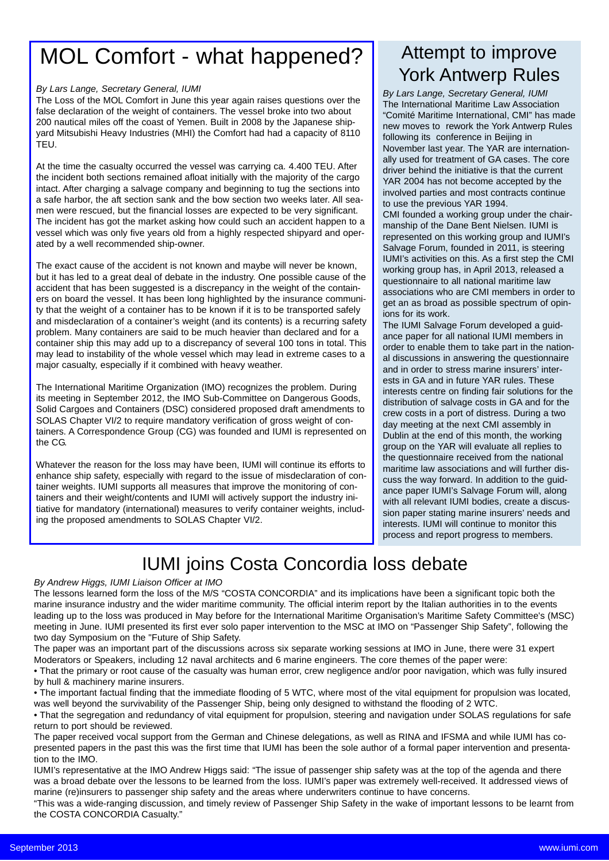# MOL Comfort - what happened?

#### *By Lars Lange, Secretary General, IUMI*

The Loss of the MOL Comfort in June this year again raises questions over the false declaration of the weight of containers. The vessel broke into two about 200 nautical miles off the coast of Yemen. Built in 2008 by the Japanese shipyard Mitsubishi Heavy Industries (MHI) the Comfort had had a capacity of 8110 TEU.

At the time the casualty occurred the vessel was carrying ca. 4.400 TEU. After the incident both sections remained afloat initially with the majority of the cargo intact. After charging a salvage company and beginning to tug the sections into a safe harbor, the aft section sank and the bow section two weeks later. All seamen were rescued, but the financial losses are expected to be very significant. The incident has got the market asking how could such an accident happen to a vessel which was only five years old from a highly respected shipyard and operated by a well recommended ship-owner.

The exact cause of the accident is not known and maybe will never be known, but it has led to a great deal of debate in the industry. One possible cause of the accident that has been suggested is a discrepancy in the weight of the containers on board the vessel. It has been long highlighted by the insurance community that the weight of a container has to be known if it is to be transported safely and misdeclaration of a container's weight (and its contents) is a recurring safety problem. Many containers are said to be much heavier than declared and for a container ship this may add up to a discrepancy of several 100 tons in total. This may lead to instability of the whole vessel which may lead in extreme cases to a major casualty, especially if it combined with heavy weather.

The International Maritime Organization (IMO) recognizes the problem. During its meeting in September 2012, the IMO Sub-Committee on Dangerous Goods, Solid Cargoes and Containers (DSC) considered proposed draft amendments to SOLAS Chapter VI/2 to require mandatory verification of gross weight of containers. A Correspondence Group (CG) was founded and IUMI is represented on the CG.

Whatever the reason for the loss may have been, IUMI will continue its efforts to enhance ship safety, especially with regard to the issue of misdeclaration of container weights. IUMI supports all measures that improve the monitoring of containers and their weight/contents and IUMI will actively support the industry initiative for mandatory (international) measures to verify container weights, including the proposed amendments to SOLAS Chapter VI/2.

### Attempt to improve York Antwerp Rules

*By Lars Lange, Secretary General, IUMI* The International Maritime Law Association "Comité Maritime International, CMI" has made new moves to rework the York Antwerp Rules following its conference in Beijing in November last year. The YAR are internationally used for treatment of GA cases. The core driver behind the initiative is that the current YAR 2004 has not become accepted by the involved parties and most contracts continue to use the previous YAR 1994.

CMI founded a working group under the chairmanship of the Dane Bent Nielsen. IUMI is represented on this working group and IUMI's Salvage Forum, founded in 2011, is steering IUMI's activities on this. As a first step the CMI working group has, in April 2013, released a questionnaire to all national maritime law associations who are CMI members in order to get an as broad as possible spectrum of opinions for its work.

The IUMI Salvage Forum developed a guidance paper for all national IUMI members in order to enable them to take part in the national discussions in answering the questionnaire and in order to stress marine insurers' interests in GA and in future YAR rules. These interests centre on finding fair solutions for the distribution of salvage costs in GA and for the crew costs in a port of distress. During a two day meeting at the next CMI assembly in Dublin at the end of this month, the working group on the YAR will evaluate all replies to the questionnaire received from the national maritime law associations and will further discuss the way forward. In addition to the guidance paper IUMI's Salvage Forum will, along with all relevant IUMI bodies, create a discussion paper stating marine insurers' needs and interests. IUMI will continue to monitor this process and report progress to members.

## IUMI joins Costa Concordia loss debate

#### *By Andrew Higgs, IUMI Liaison Officer at IMO*

The lessons learned form the loss of the M/S "COSTA CONCORDIA" and its implications have been a significant topic both the marine insurance industry and the wider maritime community. The official interim report by the Italian authorities in to the events leading up to the loss was produced in May before for the International Maritime Organisation's Maritime Safety Committee's (MSC) meeting in June. IUMI presented its first ever solo paper intervention to the MSC at IMO on "Passenger Ship Safety", following the two day Symposium on the "Future of Ship Safety.

The paper was an important part of the discussions across six separate working sessions at IMO in June, there were 31 expert Moderators or Speakers, including 12 naval architects and 6 marine engineers. The core themes of the paper were:

• That the primary or root cause of the casualty was human error, crew negligence and/or poor navigation, which was fully insured by hull & machinery marine insurers.

• The important factual finding that the immediate flooding of 5 WTC, where most of the vital equipment for propulsion was located, was well beyond the survivability of the Passenger Ship, being only designed to withstand the flooding of 2 WTC.

• That the segregation and redundancy of vital equipment for propulsion, steering and navigation under SOLAS regulations for safe return to port should be reviewed.

The paper received vocal support from the German and Chinese delegations, as well as RINA and IFSMA and while IUMI has copresented papers in the past this was the first time that IUMI has been the sole author of a formal paper intervention and presentation to the IMO.

IUMI's representative at the IMO Andrew Higgs said: "The issue of passenger ship safety was at the top of the agenda and there was a broad debate over the lessons to be learned from the loss. IUMI's paper was extremely well-received. It addressed views of marine (re)insurers to passenger ship safety and the areas where underwriters continue to have concerns.

"This was a wide-ranging discussion, and timely review of Passenger Ship Safety in the wake of important lessons to be learnt from the COSTA CONCORDIA Casualty."